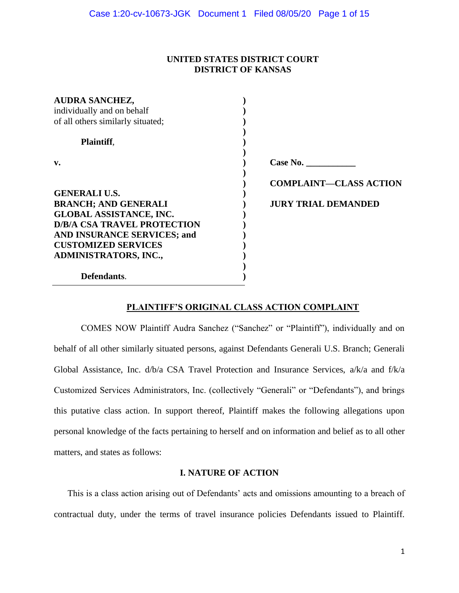### **UNITED STATES DISTRICT COURT DISTRICT OF KANSAS**

| <b>AUDRA SANCHEZ,</b>              |                               |
|------------------------------------|-------------------------------|
| individually and on behalf         |                               |
| of all others similarly situated;  |                               |
|                                    |                               |
| <b>Plaintiff,</b>                  |                               |
|                                    |                               |
| v.                                 |                               |
|                                    |                               |
|                                    | <b>COMPLAINT-CLASS ACTION</b> |
| <b>GENERALI U.S.</b>               |                               |
| <b>BRANCH; AND GENERALI</b>        | <b>JURY TRIAL DEMANDED</b>    |
| <b>GLOBAL ASSISTANCE, INC.</b>     |                               |
| <b>D/B/A CSA TRAVEL PROTECTION</b> |                               |
| AND INSURANCE SERVICES; and        |                               |
| <b>CUSTOMIZED SERVICES</b>         |                               |
| ADMINISTRATORS, INC.,              |                               |
|                                    |                               |
| Defendants.                        |                               |
|                                    |                               |

### **PLAINTIFF'S ORIGINAL CLASS ACTION COMPLAINT**

COMES NOW Plaintiff Audra Sanchez ("Sanchez" or "Plaintiff"), individually and on behalf of all other similarly situated persons, against Defendants Generali U.S. Branch; Generali Global Assistance, Inc. d/b/a CSA Travel Protection and Insurance Services, a/k/a and f/k/a Customized Services Administrators, Inc. (collectively "Generali" or "Defendants"), and brings this putative class action. In support thereof, Plaintiff makes the following allegations upon personal knowledge of the facts pertaining to herself and on information and belief as to all other matters, and states as follows:

### **I. NATURE OF ACTION**

This is a class action arising out of Defendants' acts and omissions amounting to a breach of contractual duty, under the terms of travel insurance policies Defendants issued to Plaintiff.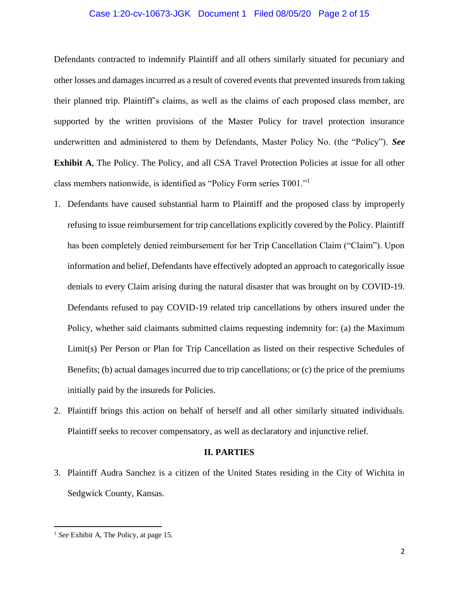### Case 1:20-cv-10673-JGK Document 1 Filed 08/05/20 Page 2 of 15

Defendants contracted to indemnify Plaintiff and all others similarly situated for pecuniary and other losses and damages incurred as a result of covered events that prevented insureds from taking their planned trip. Plaintiff's claims, as well as the claims of each proposed class member, are supported by the written provisions of the Master Policy for travel protection insurance underwritten and administered to them by Defendants, Master Policy No. (the "Policy"). *See*  **Exhibit A**, The Policy. The Policy, and all CSA Travel Protection Policies at issue for all other class members nationwide, is identified as "Policy Form series T001."<sup>1</sup>

- 1. Defendants have caused substantial harm to Plaintiff and the proposed class by improperly refusing to issue reimbursement for trip cancellations explicitly covered by the Policy. Plaintiff has been completely denied reimbursement for her Trip Cancellation Claim ("Claim"). Upon information and belief, Defendants have effectively adopted an approach to categorically issue denials to every Claim arising during the natural disaster that was brought on by COVID-19. Defendants refused to pay COVID-19 related trip cancellations by others insured under the Policy, whether said claimants submitted claims requesting indemnity for: (a) the Maximum Limit(s) Per Person or Plan for Trip Cancellation as listed on their respective Schedules of Benefits; (b) actual damages incurred due to trip cancellations; or (c) the price of the premiums initially paid by the insureds for Policies.
- 2. Plaintiff brings this action on behalf of herself and all other similarly situated individuals. Plaintiff seeks to recover compensatory, as well as declaratory and injunctive relief.

#### **II. PARTIES**

3. Plaintiff Audra Sanchez is a citizen of the United States residing in the City of Wichita in Sedgwick County, Kansas.

<sup>1</sup> *See* Exhibit A, The Policy, at page 15.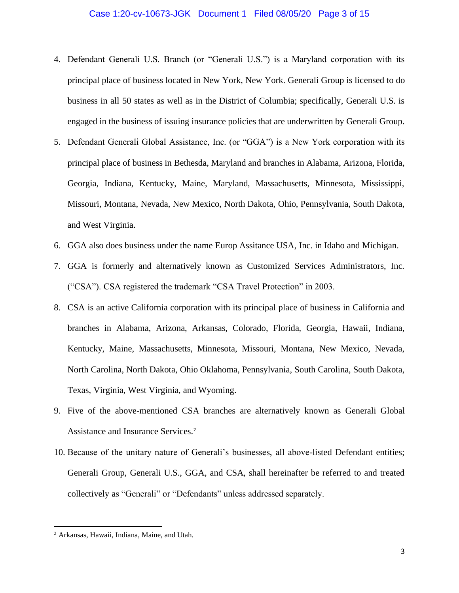### Case 1:20-cv-10673-JGK Document 1 Filed 08/05/20 Page 3 of 15

- 4. Defendant Generali U.S. Branch (or "Generali U.S.") is a Maryland corporation with its principal place of business located in New York, New York. Generali Group is licensed to do business in all 50 states as well as in the District of Columbia; specifically, Generali U.S. is engaged in the business of issuing insurance policies that are underwritten by Generali Group.
- 5. Defendant Generali Global Assistance, Inc. (or "GGA") is a New York corporation with its principal place of business in Bethesda, Maryland and branches in Alabama, Arizona, Florida, Georgia, Indiana, Kentucky, Maine, Maryland, Massachusetts, Minnesota, Mississippi, Missouri, Montana, Nevada, New Mexico, North Dakota, Ohio, Pennsylvania, South Dakota, and West Virginia.
- 6. GGA also does business under the name Europ Assitance USA, Inc. in Idaho and Michigan.
- 7. GGA is formerly and alternatively known as Customized Services Administrators, Inc. ("CSA"). CSA registered the trademark "CSA Travel Protection" in 2003.
- 8. CSA is an active California corporation with its principal place of business in California and branches in Alabama, Arizona, Arkansas, Colorado, Florida, Georgia, Hawaii, Indiana, Kentucky, Maine, Massachusetts, Minnesota, Missouri, Montana, New Mexico, Nevada, North Carolina, North Dakota, Ohio Oklahoma, Pennsylvania, South Carolina, South Dakota, Texas, Virginia, West Virginia, and Wyoming.
- 9. Five of the above-mentioned CSA branches are alternatively known as Generali Global Assistance and Insurance Services.<sup>2</sup>
- 10. Because of the unitary nature of Generali's businesses, all above-listed Defendant entities; Generali Group, Generali U.S., GGA, and CSA, shall hereinafter be referred to and treated collectively as "Generali" or "Defendants" unless addressed separately.

<sup>2</sup> Arkansas, Hawaii, Indiana, Maine, and Utah.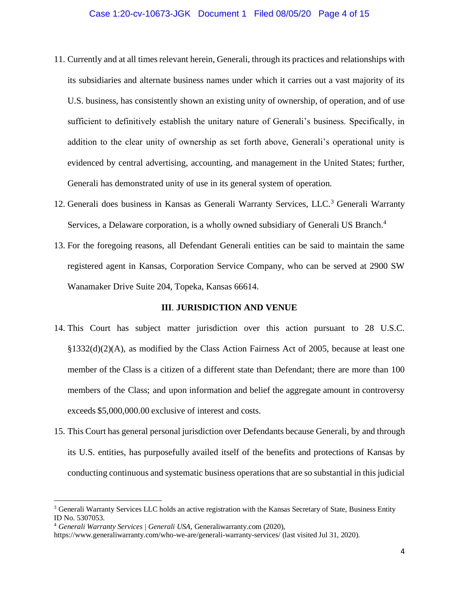### Case 1:20-cv-10673-JGK Document 1 Filed 08/05/20 Page 4 of 15

- 11. Currently and at all times relevant herein, Generali, through its practices and relationships with its subsidiaries and alternate business names under which it carries out a vast majority of its U.S. business, has consistently shown an existing unity of ownership, of operation, and of use sufficient to definitively establish the unitary nature of Generali's business. Specifically, in addition to the clear unity of ownership as set forth above, Generali's operational unity is evidenced by central advertising, accounting, and management in the United States; further, Generali has demonstrated unity of use in its general system of operation.
- 12. Generali does business in Kansas as Generali Warranty Services, LLC.<sup>3</sup> Generali Warranty Services, a Delaware corporation, is a wholly owned subsidiary of Generali US Branch.<sup>4</sup>
- 13. For the foregoing reasons, all Defendant Generali entities can be said to maintain the same registered agent in Kansas, Corporation Service Company, who can be served at 2900 SW Wanamaker Drive Suite 204, Topeka, Kansas 66614.

#### **III**. **JURISDICTION AND VENUE**

- 14. This Court has subject matter jurisdiction over this action pursuant to 28 U.S.C. §1332(d)(2)(A), as modified by the Class Action Fairness Act of 2005, because at least one member of the Class is a citizen of a different state than Defendant; there are more than 100 members of the Class; and upon information and belief the aggregate amount in controversy exceeds \$5,000,000.00 exclusive of interest and costs.
- 15. This Court has general personal jurisdiction over Defendants because Generali, by and through its U.S. entities, has purposefully availed itself of the benefits and protections of Kansas by conducting continuous and systematic business operations that are so substantial in this judicial

<sup>&</sup>lt;sup>3</sup> Generali Warranty Services LLC holds an active registration with the Kansas Secretary of State, Business Entity ID No. 5307053.

<sup>4</sup> *Generali Warranty Services | Generali USA*, Generaliwarranty.com (2020),

https://www.generaliwarranty.com/who-we-are/generali-warranty-services/ (last visited Jul 31, 2020).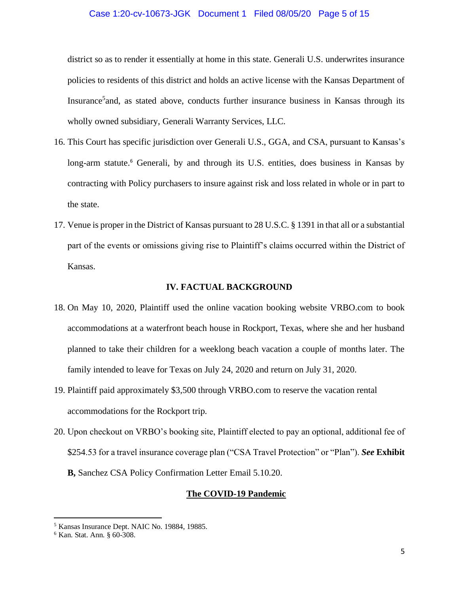### Case 1:20-cv-10673-JGK Document 1 Filed 08/05/20 Page 5 of 15

district so as to render it essentially at home in this state. Generali U.S. underwrites insurance policies to residents of this district and holds an active license with the Kansas Department of Insurance<sup>5</sup> and, as stated above, conducts further insurance business in Kansas through its wholly owned subsidiary, Generali Warranty Services, LLC.

- 16. This Court has specific jurisdiction over Generali U.S., GGA, and CSA, pursuant to Kansas's long-arm statute.<sup>6</sup> Generali, by and through its U.S. entities, does business in Kansas by contracting with Policy purchasers to insure against risk and loss related in whole or in part to the state.
- 17. Venue is proper in the District of Kansas pursuant to 28 U.S.C. § 1391 in that all or a substantial part of the events or omissions giving rise to Plaintiff's claims occurred within the District of Kansas.

### **IV. FACTUAL BACKGROUND**

- 18. On May 10, 2020, Plaintiff used the online vacation booking website VRBO.com to book accommodations at a waterfront beach house in Rockport, Texas, where she and her husband planned to take their children for a weeklong beach vacation a couple of months later. The family intended to leave for Texas on July 24, 2020 and return on July 31, 2020.
- 19. Plaintiff paid approximately \$3,500 through VRBO.com to reserve the vacation rental accommodations for the Rockport trip.
- 20. Upon checkout on VRBO's booking site, Plaintiff elected to pay an optional, additional fee of \$254.53 for a travel insurance coverage plan ("CSA Travel Protection" or "Plan"). *See* **Exhibit B,** Sanchez CSA Policy Confirmation Letter Email 5.10.20.

### **The COVID-19 Pandemic**

<sup>5</sup> Kansas Insurance Dept. NAIC No. 19884, 19885.

<sup>6</sup> Kan. Stat. Ann. § 60-308.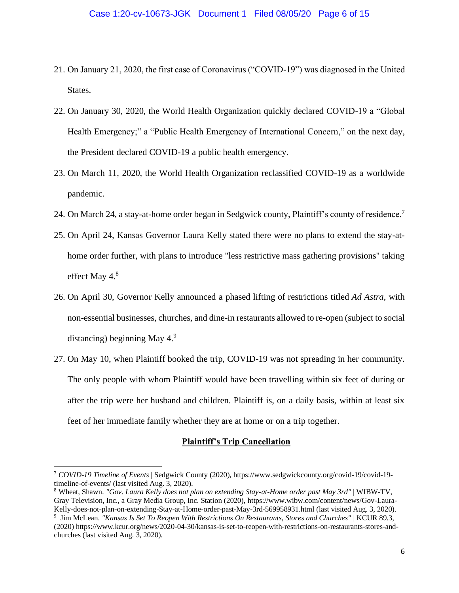- 21. On January 21, 2020, the first case of Coronavirus ("COVID-19") was diagnosed in the United States.
- 22. On January 30, 2020, the World Health Organization quickly declared COVID-19 a "Global Health Emergency;" a "Public Health Emergency of International Concern," on the next day, the President declared COVID-19 a public health emergency.
- 23. On March 11, 2020, the World Health Organization reclassified COVID-19 as a worldwide pandemic.
- 24. On March 24, a stay-at-home order began in Sedgwick county, Plaintiff's county of residence.<sup>7</sup>
- 25. On April 24, Kansas Governor Laura Kelly stated there were no plans to extend the stay-athome order further, with plans to introduce "less restrictive mass gathering provisions" taking effect May 4.<sup>8</sup>
- 26. On April 30, Governor Kelly announced a phased lifting of restrictions titled *Ad Astra*, with non-essential businesses, churches, and dine-in restaurants allowed to re-open (subject to social distancing) beginning May  $4<sup>9</sup>$
- 27. On May 10, when Plaintiff booked the trip, COVID-19 was not spreading in her community. The only people with whom Plaintiff would have been travelling within six feet of during or after the trip were her husband and children. Plaintiff is, on a daily basis, within at least six feet of her immediate family whether they are at home or on a trip together.

### **Plaintiff's Trip Cancellation**

<sup>7</sup> *COVID-19 Timeline of Events* | Sedgwick County (2020), https://www.sedgwickcounty.org/covid-19/covid-19 timeline-of-events/ (last visited Aug. 3, 2020).

<sup>8</sup> Wheat, Shawn. *["Gov. Laura Kelly does not plan on extending Stay-at-Home order past May 3rd"](https://www.wibw.com/content/news/Gov-Laura-Kelly-does-not-plan-on-extending-Stay-at-Home-order-past-May-3rd-569958931.html)* | WIBW-TV, Gray Television, Inc., a Gray Media Group, Inc. Station (2020), https://www.wibw.com/content/news/Gov-Laura-Kelly-does-not-plan-on-extending-Stay-at-Home-order-past-May-3rd-569958931.html (last visited Aug. 3, 2020).

<sup>9</sup> Jim McLean. *["Kansas Is Set To Reopen With Restrictions On Restaurants, Stores and Churches"](https://www.kcur.org/news/2020-04-30/kansas-is-set-to-reopen-with-restrictions-on-restaurants-stores-and-churches)* | KCUR 89.3, (2020) https://www.kcur.org/news/2020-04-30/kansas-is-set-to-reopen-with-restrictions-on-restaurants-stores-andchurches (last visited Aug. 3, 2020).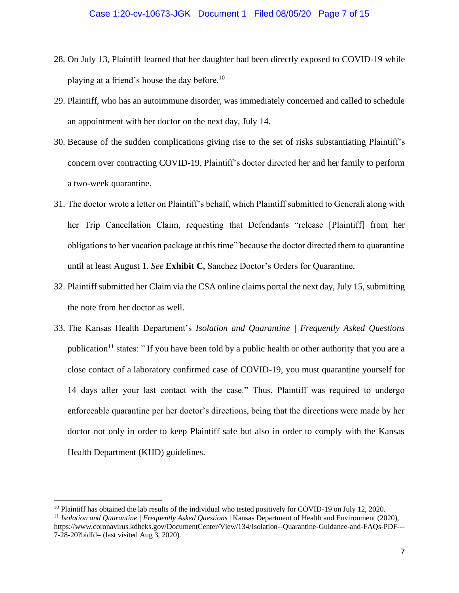- 28. On July 13, Plaintiff learned that her daughter had been directly exposed to COVID-19 while playing at a friend's house the day before.<sup>10</sup>
- 29. Plaintiff, who has an autoimmune disorder, was immediately concerned and called to schedule an appointment with her doctor on the next day, July 14.
- 30. Because of the sudden complications giving rise to the set of risks substantiating Plaintiff's concern over contracting COVID-19, Plaintiff's doctor directed her and her family to perform a two-week quarantine.
- 31. The doctor wrote a letter on Plaintiff's behalf, which Plaintiff submitted to Generali along with her Trip Cancellation Claim, requesting that Defendants "release [Plaintiff] from her obligations to her vacation package at this time" because the doctor directed them to quarantine until at least August 1. *See* **Exhibit C,** Sanchez Doctor's Orders for Quarantine.
- 32. Plaintiff submitted her Claim via the CSA online claims portal the next day, July 15, submitting the note from her doctor as well.
- 33. The Kansas Health Department's *Isolation and Quarantine | Frequently Asked Questions*  publication<sup>11</sup> states: " If you have been told by a public health or other authority that you are a close contact of a laboratory confirmed case of COVID-19, you must quarantine yourself for 14 days after your last contact with the case." Thus, Plaintiff was required to undergo enforceable quarantine per her doctor's directions, being that the directions were made by her doctor not only in order to keep Plaintiff safe but also in order to comply with the Kansas Health Department (KHD) guidelines.

 $10$  Plaintiff has obtained the lab results of the individual who tested positively for COVID-19 on July 12, 2020.

<sup>&</sup>lt;sup>11</sup> *Isolation and Quarantine | Frequently Asked Questions* | Kansas Department of Health and Environment (2020), https://www.coronavirus.kdheks.gov/DocumentCenter/View/134/Isolation--Quarantine-Guidance-and-FAQs-PDF--- 7-28-20?bidId= (last visited Aug 3, 2020).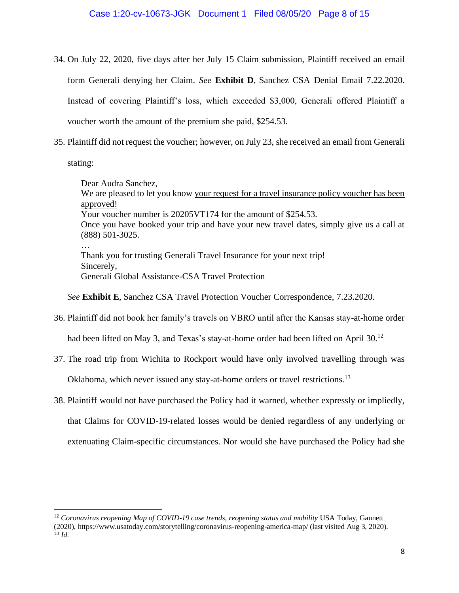- 34. On July 22, 2020, five days after her July 15 Claim submission, Plaintiff received an email form Generali denying her Claim. *See* **Exhibit D**, Sanchez CSA Denial Email 7.22.2020. Instead of covering Plaintiff's loss, which exceeded \$3,000, Generali offered Plaintiff a voucher worth the amount of the premium she paid, \$254.53.
- 35. Plaintiff did not request the voucher; however, on July 23, she received an email from Generali

stating:

Dear Audra Sanchez, We are pleased to let you know your request for a travel insurance policy voucher has been approved! Your voucher number is 20205VT174 for the amount of \$254.53. Once you have booked your trip and have your new travel dates, simply give us a call at (888) 501-3025. … Thank you for trusting Generali Travel Insurance for your next trip! Sincerely, Generali Global Assistance-CSA Travel Protection

*See* **Exhibit E**, Sanchez CSA Travel Protection Voucher Correspondence, 7.23.2020.

36. Plaintiff did not book her family's travels on VBRO until after the Kansas stay-at-home order

had been lifted on May 3, and Texas's stay-at-home order had been lifted on April 30.<sup>12</sup>

37. The road trip from Wichita to Rockport would have only involved travelling through was

Oklahoma, which never issued any stay-at-home orders or travel restrictions.<sup>13</sup>

38. Plaintiff would not have purchased the Policy had it warned, whether expressly or impliedly,

that Claims for COVID-19-related losses would be denied regardless of any underlying or extenuating Claim-specific circumstances. Nor would she have purchased the Policy had she

<sup>12</sup> *Coronavirus reopening Map of COVID-19 case trends, reopening status and mobility* USA Today, Gannett (2020), https://www.usatoday.com/storytelling/coronavirus-reopening-america-map/ (last visited Aug 3, 2020).  $^{13}$  *Id.*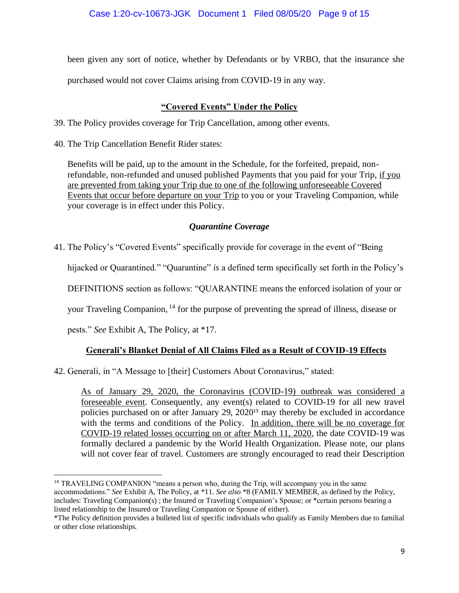been given any sort of notice, whether by Defendants or by VRBO, that the insurance she

purchased would not cover Claims arising from COVID-19 in any way.

## **"Covered Events" Under the Policy**

- 39. The Policy provides coverage for Trip Cancellation, among other events.
- 40. The Trip Cancellation Benefit Rider states:

Benefits will be paid, up to the amount in the Schedule, for the forfeited, prepaid, nonrefundable, non-refunded and unused published Payments that you paid for your Trip, if you are prevented from taking your Trip due to one of the following unforeseeable Covered Events that occur before departure on your Trip to you or your Traveling Companion, while your coverage is in effect under this Policy.

## *Quarantine Coverage*

41. The Policy's "Covered Events" specifically provide for coverage in the event of "Being

hijacked or Quarantined." "Quarantine" *is* a defined term specifically set forth in the Policy's

DEFINITIONS section as follows: "QUARANTINE means the enforced isolation of your or

your Traveling Companion, <sup>14</sup> for the purpose of preventing the spread of illness, disease or

pests." *See* Exhibit A, The Policy, at \*17.

# **Generali's Blanket Denial of All Claims Filed as a Result of COVID-19 Effects**

42. Generali, in "A Message to [their] Customers About Coronavirus," stated:

As of January 29, 2020, the Coronavirus (COVID-19) outbreak was considered a foreseeable event. Consequently, any event(s) related to COVID-19 for all new travel policies purchased on or after January 29, 2020<sup>15</sup> may thereby be excluded in accordance with the terms and conditions of the Policy. In addition, there will be no coverage for COVID-19 related losses occurring on or after March 11, 2020, the date COVID-19 was formally declared a pandemic by the World Health Organization. Please note, our plans will not cover fear of travel. Customers are strongly encouraged to read their Description

<sup>&</sup>lt;sup>14</sup> TRAVELING COMPANION "means a person who, during the Trip, will accompany you in the same accommodations." *See* Exhibit A, The Policy, at \*11. *See also* \*8 (FAMILY MEMBER, as defined by the Policy, includes: Traveling Companion(s) ; the Insured or Traveling Companion's Spouse; or \*certain persons bearing a listed relationship to the Insured or Traveling Companion or Spouse of either).

<sup>\*</sup>The Policy definition provides a bulleted list of specific individuals who qualify as Family Members due to familial or other close relationships.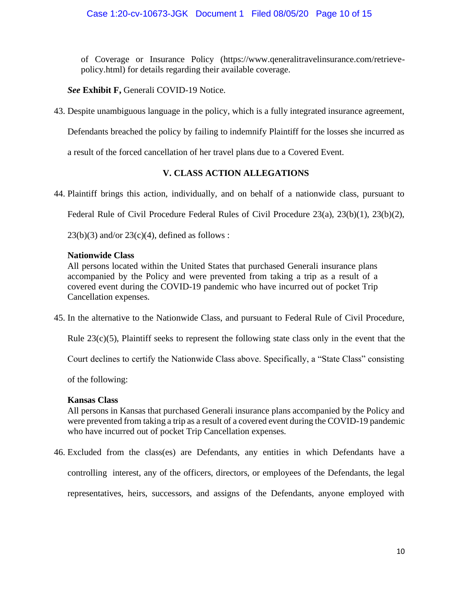of Coverage or Insurance Policy (https://www.qeneralitravelinsurance.com/retrievepolicy.html) for details regarding their available coverage.

*See* **Exhibit F,** Generali COVID-19 Notice.

43. Despite unambiguous language in the policy, which is a fully integrated insurance agreement,

Defendants breached the policy by failing to indemnify Plaintiff for the losses she incurred as

a result of the forced cancellation of her travel plans due to a Covered Event.

## **V. CLASS ACTION ALLEGATIONS**

44. Plaintiff brings this action, individually, and on behalf of a nationwide class, pursuant to

Federal Rule of Civil Procedure Federal Rules of Civil Procedure 23(a), 23(b)(1), 23(b)(2),

 $23(b)(3)$  and/or  $23(c)(4)$ , defined as follows :

## **Nationwide Class**

All persons located within the United States that purchased Generali insurance plans accompanied by the Policy and were prevented from taking a trip as a result of a covered event during the COVID-19 pandemic who have incurred out of pocket Trip Cancellation expenses.

45. In the alternative to the Nationwide Class, and pursuant to Federal Rule of Civil Procedure,

Rule  $23(c)(5)$ , Plaintiff seeks to represent the following state class only in the event that the

Court declines to certify the Nationwide Class above. Specifically, a "State Class" consisting

of the following:

### **Kansas Class**

All persons in Kansas that purchased Generali insurance plans accompanied by the Policy and were prevented from taking a trip as a result of a covered event during the COVID-19 pandemic who have incurred out of pocket Trip Cancellation expenses.

46. Excluded from the class(es) are Defendants, any entities in which Defendants have a

controlling interest, any of the officers, directors, or employees of the Defendants, the legal

representatives, heirs, successors, and assigns of the Defendants, anyone employed with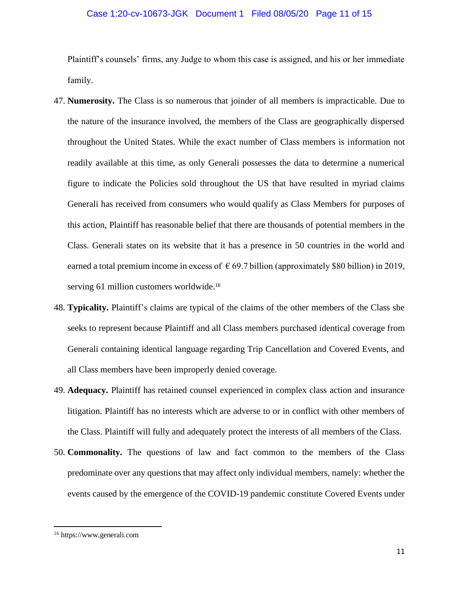### Case 1:20-cv-10673-JGK Document 1 Filed 08/05/20 Page 11 of 15

Plaintiff's counsels' firms, any Judge to whom this case is assigned, and his or her immediate family.

- 47. **Numerosity.** The Class is so numerous that joinder of all members is impracticable. Due to the nature of the insurance involved, the members of the Class are geographically dispersed throughout the United States. While the exact number of Class members is information not readily available at this time, as only Generali possesses the data to determine a numerical figure to indicate the Policies sold throughout the US that have resulted in myriad claims Generali has received from consumers who would qualify as Class Members for purposes of this action, Plaintiff has reasonable belief that there are thousands of potential members in the Class. Generali states on its website that it has a presence in 50 countries in the world and earned a total premium income in excess of  $\epsilon$  69.7 billion (approximately \$80 billion) in 2019, serving 61 million customers worldwide.<sup>16</sup>
- 48. **Typicality.** Plaintiff's claims are typical of the claims of the other members of the Class she seeks to represent because Plaintiff and all Class members purchased identical coverage from Generali containing identical language regarding Trip Cancellation and Covered Events, and all Class members have been improperly denied coverage.
- 49. **Adequacy.** Plaintiff has retained counsel experienced in complex class action and insurance litigation. Plaintiff has no interests which are adverse to or in conflict with other members of the Class. Plaintiff will fully and adequately protect the interests of all members of the Class.
- 50. **Commonality.** The questions of law and fact common to the members of the Class predominate over any questions that may affect only individual members, namely: whether the events caused by the emergence of the COVID-19 pandemic constitute Covered Events under

<sup>16</sup> https://www.generali.com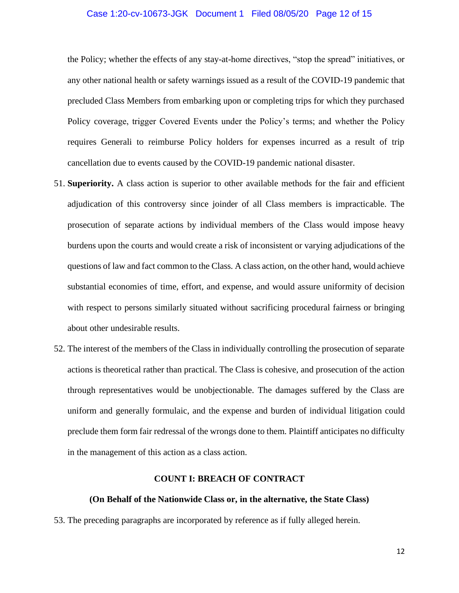### Case 1:20-cv-10673-JGK Document 1 Filed 08/05/20 Page 12 of 15

the Policy; whether the effects of any stay-at-home directives, "stop the spread" initiatives, or any other national health or safety warnings issued as a result of the COVID-19 pandemic that precluded Class Members from embarking upon or completing trips for which they purchased Policy coverage, trigger Covered Events under the Policy's terms; and whether the Policy requires Generali to reimburse Policy holders for expenses incurred as a result of trip cancellation due to events caused by the COVID-19 pandemic national disaster.

- 51. **Superiority.** A class action is superior to other available methods for the fair and efficient adjudication of this controversy since joinder of all Class members is impracticable. The prosecution of separate actions by individual members of the Class would impose heavy burdens upon the courts and would create a risk of inconsistent or varying adjudications of the questions of law and fact common to the Class. A class action, on the other hand, would achieve substantial economies of time, effort, and expense, and would assure uniformity of decision with respect to persons similarly situated without sacrificing procedural fairness or bringing about other undesirable results.
- 52. The interest of the members of the Class in individually controlling the prosecution of separate actions is theoretical rather than practical. The Class is cohesive, and prosecution of the action through representatives would be unobjectionable. The damages suffered by the Class are uniform and generally formulaic, and the expense and burden of individual litigation could preclude them form fair redressal of the wrongs done to them. Plaintiff anticipates no difficulty in the management of this action as a class action.

### **COUNT I: BREACH OF CONTRACT**

### **(On Behalf of the Nationwide Class or, in the alternative, the State Class)**

53. The preceding paragraphs are incorporated by reference as if fully alleged herein.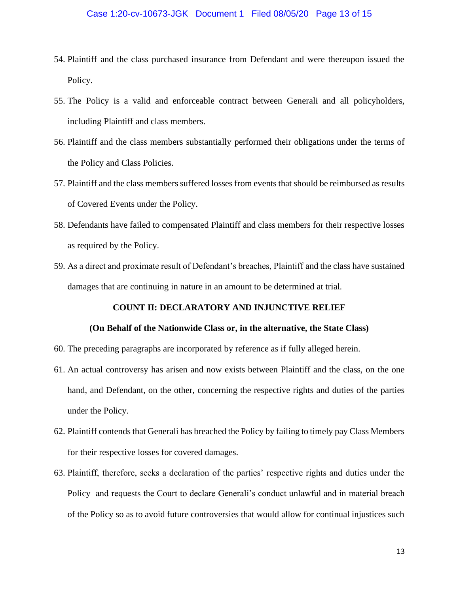- 54. Plaintiff and the class purchased insurance from Defendant and were thereupon issued the Policy.
- 55. The Policy is a valid and enforceable contract between Generali and all policyholders, including Plaintiff and class members.
- 56. Plaintiff and the class members substantially performed their obligations under the terms of the Policy and Class Policies.
- 57. Plaintiff and the class members suffered losses from events that should be reimbursed as results of Covered Events under the Policy.
- 58. Defendants have failed to compensated Plaintiff and class members for their respective losses as required by the Policy.
- 59. As a direct and proximate result of Defendant's breaches, Plaintiff and the class have sustained damages that are continuing in nature in an amount to be determined at trial.

### **COUNT II: DECLARATORY AND INJUNCTIVE RELIEF**

### **(On Behalf of the Nationwide Class or, in the alternative, the State Class)**

- 60. The preceding paragraphs are incorporated by reference as if fully alleged herein.
- 61. An actual controversy has arisen and now exists between Plaintiff and the class, on the one hand, and Defendant, on the other, concerning the respective rights and duties of the parties under the Policy.
- 62. Plaintiff contends that Generali has breached the Policy by failing to timely pay Class Members for their respective losses for covered damages.
- 63. Plaintiff, therefore, seeks a declaration of the parties' respective rights and duties under the Policy and requests the Court to declare Generali's conduct unlawful and in material breach of the Policy so as to avoid future controversies that would allow for continual injustices such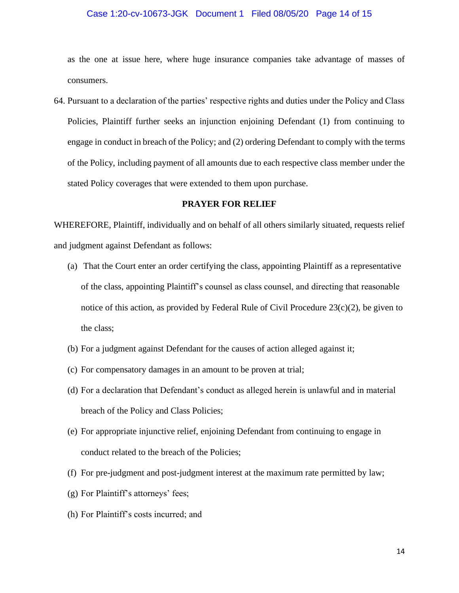### Case 1:20-cv-10673-JGK Document 1 Filed 08/05/20 Page 14 of 15

as the one at issue here, where huge insurance companies take advantage of masses of consumers.

64. Pursuant to a declaration of the parties' respective rights and duties under the Policy and Class Policies, Plaintiff further seeks an injunction enjoining Defendant (1) from continuing to engage in conduct in breach of the Policy; and (2) ordering Defendant to comply with the terms of the Policy, including payment of all amounts due to each respective class member under the stated Policy coverages that were extended to them upon purchase.

### **PRAYER FOR RELIEF**

WHEREFORE, Plaintiff, individually and on behalf of all others similarly situated, requests relief and judgment against Defendant as follows:

- (a) That the Court enter an order certifying the class, appointing Plaintiff as a representative of the class, appointing Plaintiff's counsel as class counsel, and directing that reasonable notice of this action, as provided by Federal Rule of Civil Procedure 23(c)(2), be given to the class;
- (b) For a judgment against Defendant for the causes of action alleged against it;
- (c) For compensatory damages in an amount to be proven at trial;
- (d) For a declaration that Defendant's conduct as alleged herein is unlawful and in material breach of the Policy and Class Policies;
- (e) For appropriate injunctive relief, enjoining Defendant from continuing to engage in conduct related to the breach of the Policies;
- (f) For pre-judgment and post-judgment interest at the maximum rate permitted by law;
- (g) For Plaintiff's attorneys' fees;
- (h) For Plaintiff's costs incurred; and